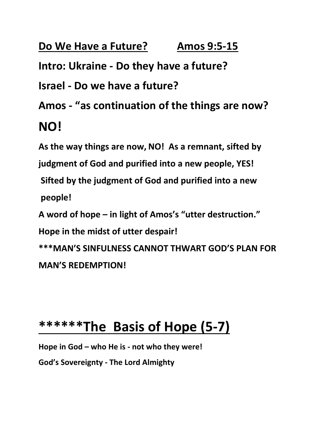# **Do We Have a Future? Amos 9:5-15**

**Intro: Ukraine - Do they have a future?**

**Israel - Do we have a future?**

**Amos - "as continuation of the things are now?**

#### **NO!**

**As the way things are now, NO! As a remnant, sifted by judgment of God and purified into a new people, YES! Sifted by the judgment of God and purified into a new people! A word of hope – in light of Amos's "utter destruction."**

**Hope in the midst of utter despair!**

**\*\*\*MAN'S SINFULNESS CANNOT THWART GOD'S PLAN FOR MAN'S REDEMPTION!**

#### **\*\*\*\*\*\*The Basis of Hope (5-7)**

**Hope in God – who He is - not who they were!**

**God's Sovereignty - The Lord Almighty**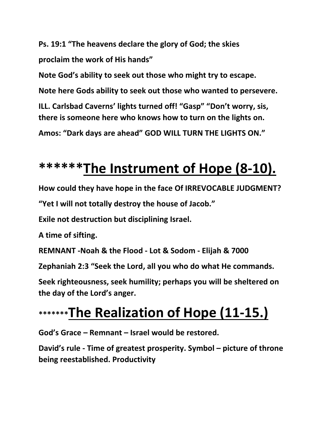**Ps. 19:1 "The heavens declare the glory of God; the skies proclaim the work of His hands"**

**Note God's ability to seek out those who might try to escape. Note here Gods ability to seek out those who wanted to persevere. ILL. Carlsbad Caverns' lights turned off! "Gasp" "Don't worry, sis, there is someone here who knows how to turn on the lights on. Amos: "Dark days are ahead" GOD WILL TURN THE LIGHTS ON."**

## **\*\*\*\*\*\*The Instrument of Hope (8-10).**

**How could they have hope in the face Of IRREVOCABLE JUDGMENT?**

**"Yet I will not totally destroy the house of Jacob."**

**Exile not destruction but disciplining Israel.**

**A time of sifting.**

**REMNANT -Noah & the Flood - Lot & Sodom - Elijah & 7000**

**Zephaniah 2:3 "Seek the Lord, all you who do what He commands.**

**Seek righteousness, seek humility; perhaps you will be sheltered on the day of the Lord's anger.**

## **\*\*\*\*\*\*\*The Realization of Hope (11-15.)**

**God's Grace – Remnant – Israel would be restored.**

**David's rule - Time of greatest prosperity. Symbol – picture of throne being reestablished. Productivity**